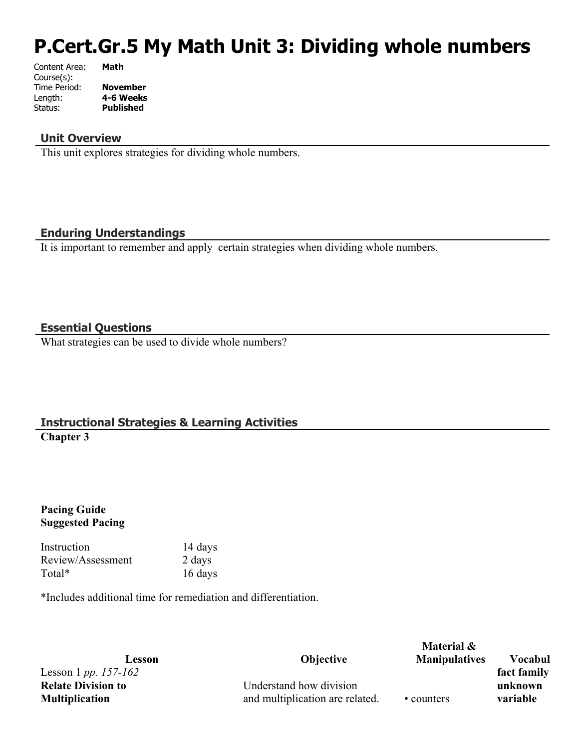# **P.Cert.Gr.5 My Math Unit 3: Dividing whole numbers**

| Content Area: | Math             |
|---------------|------------------|
| Course(s):    |                  |
| Time Period:  | <b>November</b>  |
| Length:       | 4-6 Weeks        |
| Status:       | <b>Published</b> |
|               |                  |

## **Unit Overview**

This unit explores strategies for dividing whole numbers.

# **Enduring Understandings**

It is important to remember and apply certain strategies when dividing whole numbers.

### **Essential Questions**

What strategies can be used to divide whole numbers?

# **Instructional Strategies & Learning Activities Chapter 3**

### **Pacing Guide Suggested Pacing**

Instruction 14 days Review/Assessment 2 days Total\* 16 days

\*Includes additional time for remediation and differentiation.

Lesson 1 *pp. 157-162* **Relate Division to Multiplication**

**Lesson Objective**

Understand how division and multiplication are related. • counters

**Material & Manipulatives Vocabul fact family unknown variable**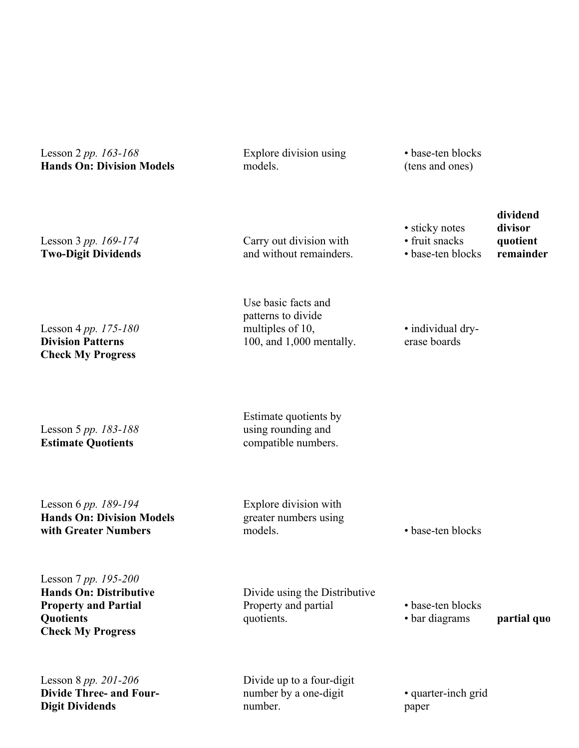Lesson 2 *pp. 163-168* **Hands On: Division Models**

Explore division using models.

• base-ten blocks (tens and ones)

• sticky notes • fruit snacks • base-ten blocks

| Lesson 3 pp. $169-174$     |  |
|----------------------------|--|
| <b>Two-Digit Dividends</b> |  |

Lesson 4 *pp. 175-180* **Division Patterns**

**Check My Progress** 

Carry out division with and without remainders.

Use basic facts and patterns to divide multiples of 10, 100, and 1,000 mentally.

• individual dryerase boards

Lesson 5 *pp. 183-188* **Estimate Quotients**

Estimate quotients by using rounding and compatible numbers.

Lesson 6 *pp. 189-194* **Hands On: Division Models with Greater Numbers**

Explore division with greater numbers using models. • base-ten blocks

Lesson 7 *pp. 195-200* **Hands On: Distributive Property and Partial Quotients Check My Progress** 

Lesson 8 *pp. 201-206* **Divide Three- and Four-Digit Dividends**

Divide using the Distributive Property and partial quotients.

• base-ten blocks

• bar diagrams **partial quo** 

**dividend divisor quotient remainder**

Divide up to a four-digit number by a one-digit number.

• quarter-inch grid paper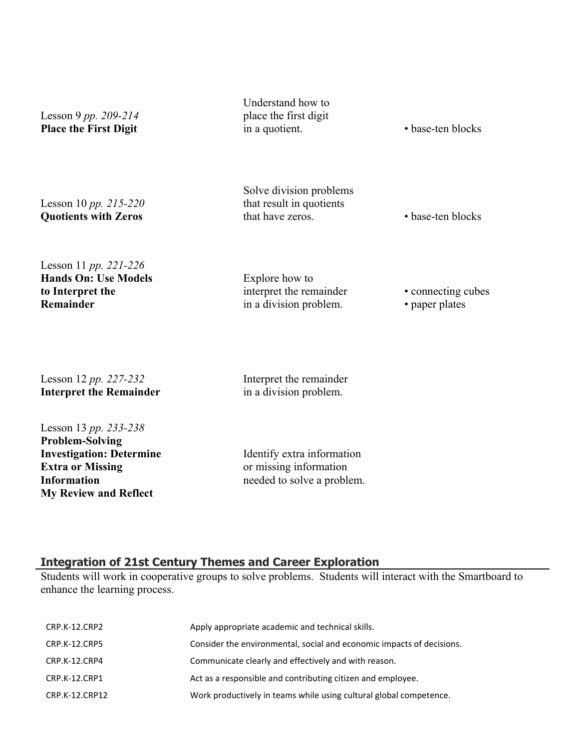| Lesson 9 pp. 209-214<br><b>Place the First Digit</b>                                                                                | Understand how to<br>place the first digit<br>in a quotient.                       | • base-ten blocks                    |
|-------------------------------------------------------------------------------------------------------------------------------------|------------------------------------------------------------------------------------|--------------------------------------|
| Lesson 10 pp. 215-220<br><b>Quotients with Zeros</b>                                                                                | Solve division problems<br>that result in quotients<br>that have zeros.            | • base-ten blocks                    |
| Lesson 11 pp. 221-226<br><b>Hands On: Use Models</b><br>to Interpret the<br>Remainder                                               | Explore how to<br>interpret the remainder<br>in a division problem.                | • connecting cubes<br>• paper plates |
| Lesson 12 pp. 227-232<br><b>Interpret the Remainder</b>                                                                             | Interpret the remainder<br>in a division problem.                                  |                                      |
| Lesson 13 pp. 233-238<br><b>Problem-Solving</b><br><b>Investigation: Determine</b><br><b>Extra or Missing</b><br><b>Information</b> | Identify extra information<br>or missing information<br>needed to solve a problem. |                                      |

#### **Integration of 21st Century Themes and Career Exploration**

**My Review and Reflect** 

Students will work in cooperative groups to solve problems. Students will interact with the Smartboard to enhance the learning process.

| CRP.K-12.CRP2        | Apply appropriate academic and technical skills.                      |
|----------------------|-----------------------------------------------------------------------|
| <b>CRP.K-12.CRP5</b> | Consider the environmental, social and economic impacts of decisions. |
| CRP.K-12.CRP4        | Communicate clearly and effectively and with reason.                  |
| CRP.K-12.CRP1        | Act as a responsible and contributing citizen and employee.           |
| CRP.K-12.CRP12       | Work productively in teams while using cultural global competence.    |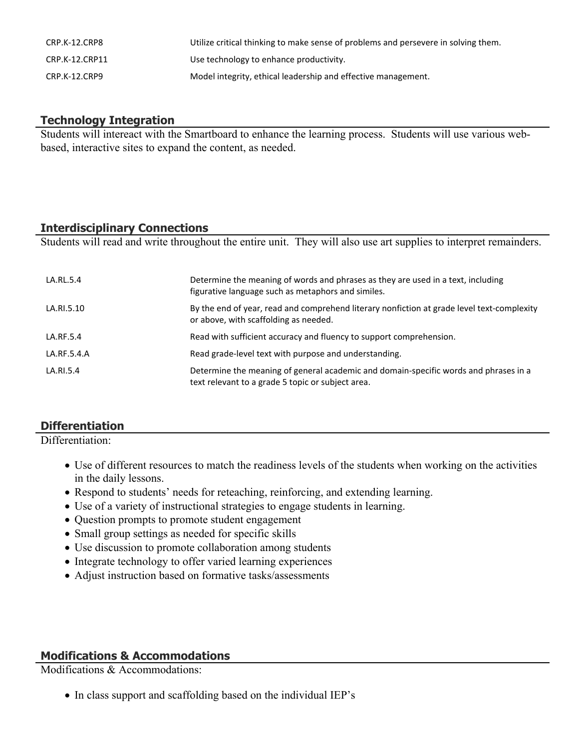| CRP.K-12.CRP8  | Utilize critical thinking to make sense of problems and persevere in solving them. |
|----------------|------------------------------------------------------------------------------------|
| CRP.K-12.CRP11 | Use technology to enhance productivity.                                            |
| CRP.K-12.CRP9  | Model integrity, ethical leadership and effective management.                      |

# **Technology Integration**

Students will intereact with the Smartboard to enhance the learning process. Students will use various webbased, interactive sites to expand the content, as needed.

# **Interdisciplinary Connections**

Students will read and write throughout the entire unit. They will also use art supplies to interpret remainders.

| LA.RL.5.4   | Determine the meaning of words and phrases as they are used in a text, including<br>figurative language such as metaphors and similes.    |
|-------------|-------------------------------------------------------------------------------------------------------------------------------------------|
| LA.RI.5.10  | By the end of year, read and comprehend literary nonfiction at grade level text-complexity<br>or above, with scaffolding as needed.       |
| LA.RF.5.4   | Read with sufficient accuracy and fluency to support comprehension.                                                                       |
| LA.RF.5.4.A | Read grade-level text with purpose and understanding.                                                                                     |
| LA.RI.5.4   | Determine the meaning of general academic and domain-specific words and phrases in a<br>text relevant to a grade 5 topic or subject area. |

# **Differentiation**

Differentiation:

- Use of different resources to match the readiness levels of the students when working on the activities in the daily lessons.
- Respond to students' needs for reteaching, reinforcing, and extending learning.
- Use of a variety of instructional strategies to engage students in learning.
- Question prompts to promote student engagement
- Small group settings as needed for specific skills
- Use discussion to promote collaboration among students
- Integrate technology to offer varied learning experiences
- Adjust instruction based on formative tasks/assessments

# **Modifications & Accommodations**

Modifications & Accommodations:

• In class support and scaffolding based on the individual IEP's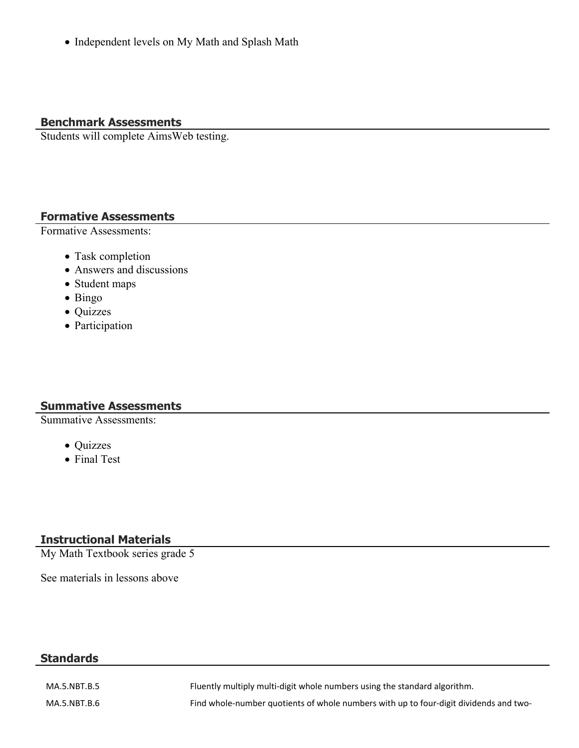Independent levels on My Math and Splash Math

# **Benchmark Assessments**

Students will complete AimsWeb testing.

# **Formative Assessments**

Formative Assessments:

- Task completion
- Answers and discussions
- Student maps
- Bingo
- Quizzes
- Participation

# **Summative Assessments**

Summative Assessments:

- Quizzes
- Final Test

# **Instructional Materials**

My Math Textbook series grade 5

See materials in lessons above

# **Standards**